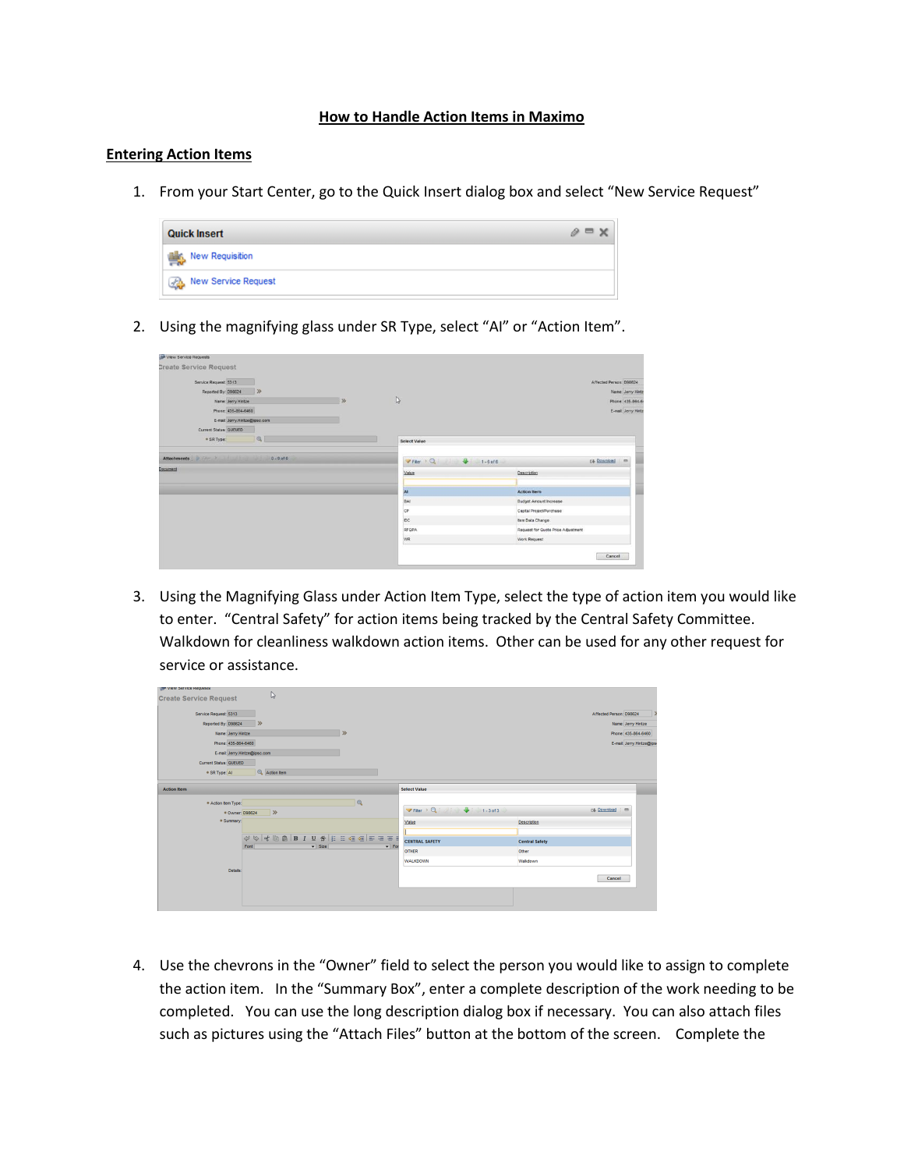## **How to Handle Action Items in Maximo**

## **Entering Action Items**

1. From your Start Center, go to the Quick Insert dialog box and select "New Service Request"



2. Using the magnifying glass under SR Type, select "AI" or "Action Item".

| - View Service Requests       |                               |               |                     |                                                                    |
|-------------------------------|-------------------------------|---------------|---------------------|--------------------------------------------------------------------|
| <b>Create Service Request</b> |                               |               |                     |                                                                    |
| Service Request 5313          |                               |               |                     | Affected Person: D96624                                            |
| Reported By: 098624           | $\gg$                         |               |                     | Name: Jerry Hintz                                                  |
| Name Jerry Hintze             |                               | $\rightarrow$ | D                   | Phone 435-864-6                                                    |
| Phone: 435-864-6460           |                               |               |                     | E-mail: Jerry.Hintz                                                |
|                               | E-mail: Jerry.Hintze@ipsc.com |               |                     |                                                                    |
| Current Status: QUEUED        |                               |               |                     |                                                                    |
| * SR Type:                    | Q                             |               | <b>Select Value</b> |                                                                    |
| Document                      |                               |               | Value<br>Al<br>BAI  | Description<br><b>Action Item</b><br><b>Budget Amount Increase</b> |
|                               |                               |               | CP                  | Capital Project/Purchase                                           |
|                               |                               |               |                     |                                                                    |
|                               |                               |               | DC.                 | tem Data Change                                                    |
|                               |                               |               | RFOPA               | Request for Quote Price Adjustment                                 |

3. Using the Magnifying Glass under Action Item Type, select the type of action item you would like to enter. "Central Safety" for action items being tracked by the Central Safety Committee. Walkdown for cleanliness walkdown action items. Other can be used for any other request for service or assistance.

| All ARM SEIAVE MEDITERS       |                               |                                                                                                                                                                                                                                                                                                                                                                                                                     |                              |                                                                                              |                       |                         |                          |
|-------------------------------|-------------------------------|---------------------------------------------------------------------------------------------------------------------------------------------------------------------------------------------------------------------------------------------------------------------------------------------------------------------------------------------------------------------------------------------------------------------|------------------------------|----------------------------------------------------------------------------------------------|-----------------------|-------------------------|--------------------------|
| <b>Create Service Request</b> |                               | $\mathbb{D}$                                                                                                                                                                                                                                                                                                                                                                                                        |                              |                                                                                              |                       |                         |                          |
|                               |                               |                                                                                                                                                                                                                                                                                                                                                                                                                     |                              |                                                                                              |                       |                         |                          |
| Service Request: 5313         |                               |                                                                                                                                                                                                                                                                                                                                                                                                                     |                              |                                                                                              |                       | Affected Person: D98624 | 15                       |
| Reported By: D98624           | $\gg$                         |                                                                                                                                                                                                                                                                                                                                                                                                                     |                              |                                                                                              |                       |                         | Name: Jerry Hintze       |
|                               | Name: Jerry Hintze            |                                                                                                                                                                                                                                                                                                                                                                                                                     | $\gg$                        |                                                                                              |                       |                         | Phone: 435-864-6460      |
|                               | Phone: 435-864-6460           |                                                                                                                                                                                                                                                                                                                                                                                                                     |                              |                                                                                              |                       |                         | E-mail: Jerry.Hintze@ips |
|                               |                               |                                                                                                                                                                                                                                                                                                                                                                                                                     |                              |                                                                                              |                       |                         |                          |
|                               | E-mail: Jerry.Hintze@ipsc.com |                                                                                                                                                                                                                                                                                                                                                                                                                     |                              |                                                                                              |                       |                         |                          |
| Current Status: QUEUED        |                               |                                                                                                                                                                                                                                                                                                                                                                                                                     |                              |                                                                                              |                       |                         |                          |
| * SR Type: AI                 |                               | Action tem                                                                                                                                                                                                                                                                                                                                                                                                          |                              |                                                                                              |                       |                         |                          |
|                               |                               |                                                                                                                                                                                                                                                                                                                                                                                                                     |                              |                                                                                              |                       |                         |                          |
| <b>Action Item</b>            |                               |                                                                                                                                                                                                                                                                                                                                                                                                                     |                              | <b>Select Value</b>                                                                          |                       |                         |                          |
| · Action item Type:           |                               |                                                                                                                                                                                                                                                                                                                                                                                                                     | $\mathbf{Q}$                 |                                                                                              |                       |                         |                          |
|                               | + Owner: D98624               | $\rightarrow$                                                                                                                                                                                                                                                                                                                                                                                                       |                              | $\triangledown$ Fiter $\rightarrow$ Q $\rightarrow$ 4 $\rightarrow$ 4 $\rightarrow$ 1-3 of 3 |                       | <b>DB</b> Download      | $\qquad \qquad \Box$     |
|                               | · Summary:                    |                                                                                                                                                                                                                                                                                                                                                                                                                     |                              |                                                                                              |                       |                         |                          |
|                               |                               |                                                                                                                                                                                                                                                                                                                                                                                                                     |                              | Value                                                                                        | Description           |                         |                          |
|                               |                               | $\begin{array}{c} \phi \; \psi \;   \; \psi \; \text{in} \; \mathbb{R} \; \text{in} \; I \; \; \mathsf{U} \; \; \mathsf{S} \;   \; \mathsf{E} \; \mathrel{\mathop:} \; \mathsf{G} \; \mathsf{S} \;   \; \mathsf{E} \; \mathrel{\mathop:} \; \mathsf{S} \; \mathsf{S} \; \mathsf{S} \; \mathsf{S} \; \mathsf{S} \; \mathsf{S} \; \mathsf{S} \; \mathsf{S} \; \mathsf{S} \; \mathsf{S} \; \mathsf{S} \; \mathsf{S} \$ |                              |                                                                                              |                       |                         |                          |
|                               | Font                          | $\overline{\phantom{a}}$ Size                                                                                                                                                                                                                                                                                                                                                                                       | $\overline{\phantom{0}}$ For | <b>CENTRAL SAFETY</b>                                                                        | <b>Central Safety</b> |                         |                          |
|                               |                               |                                                                                                                                                                                                                                                                                                                                                                                                                     |                              | <b>OTHER</b>                                                                                 | Other                 |                         |                          |
|                               |                               |                                                                                                                                                                                                                                                                                                                                                                                                                     |                              | <b>WALKDOWN</b>                                                                              | Walkdown              |                         |                          |
|                               | Details:                      |                                                                                                                                                                                                                                                                                                                                                                                                                     |                              |                                                                                              |                       |                         |                          |
|                               |                               |                                                                                                                                                                                                                                                                                                                                                                                                                     |                              |                                                                                              |                       | Cancel                  |                          |
|                               |                               |                                                                                                                                                                                                                                                                                                                                                                                                                     |                              |                                                                                              |                       |                         |                          |
|                               |                               |                                                                                                                                                                                                                                                                                                                                                                                                                     |                              |                                                                                              |                       |                         |                          |
|                               |                               |                                                                                                                                                                                                                                                                                                                                                                                                                     |                              |                                                                                              |                       |                         |                          |
|                               |                               |                                                                                                                                                                                                                                                                                                                                                                                                                     |                              |                                                                                              |                       |                         |                          |

4. Use the chevrons in the "Owner" field to select the person you would like to assign to complete the action item. In the "Summary Box", enter a complete description of the work needing to be completed. You can use the long description dialog box if necessary. You can also attach files such as pictures using the "Attach Files" button at the bottom of the screen. Complete the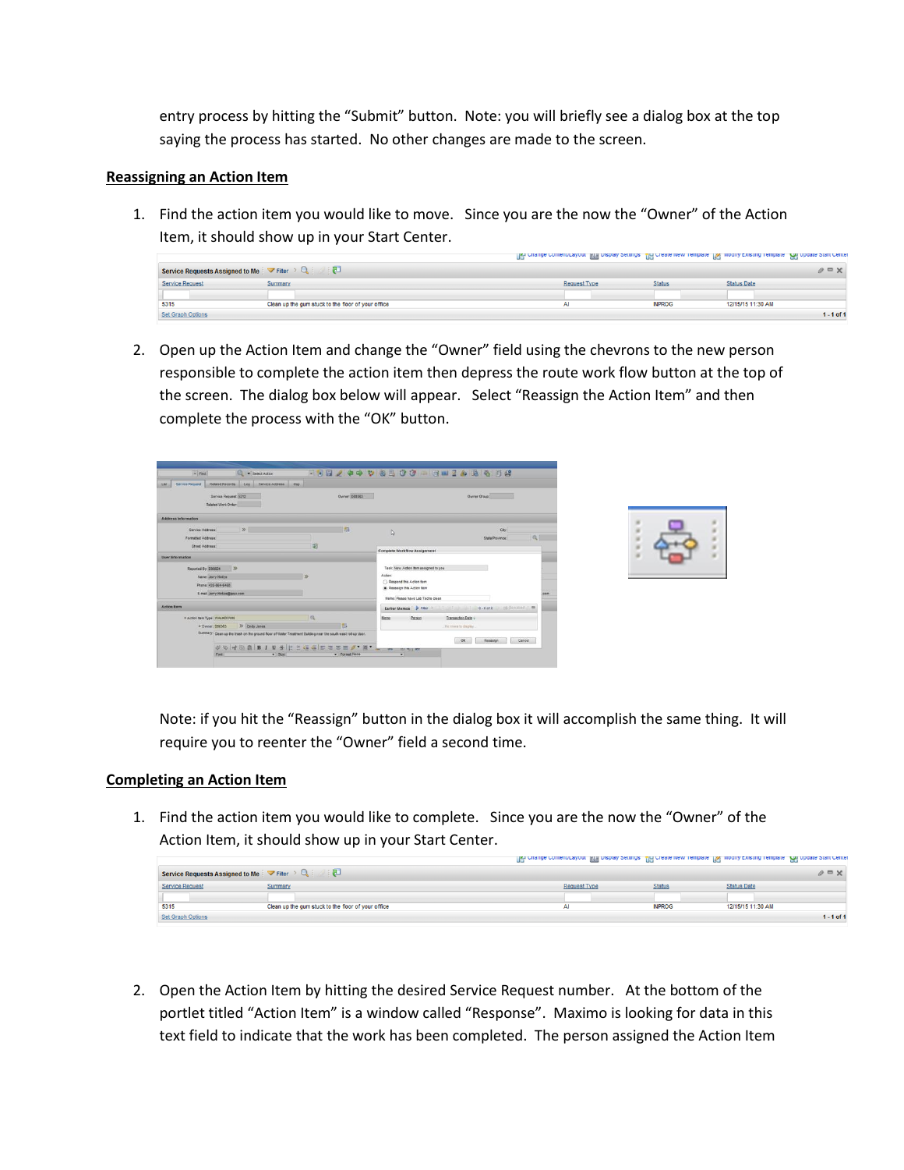entry process by hitting the "Submit" button. Note: you will briefly see a dialog box at the top saying the process has started. No other changes are made to the screen.

## **Reassigning an Action Item**

1. Find the action item you would like to move. Since you are the now the "Owner" of the Action Item, it should show up in your Start Center.

|                          |                                                                                  | The cusual coursincrayon: The nabial partials. The create new retubilities Ne woon's careful retubilities. The observation of |               |                    |              |
|--------------------------|----------------------------------------------------------------------------------|-------------------------------------------------------------------------------------------------------------------------------|---------------|--------------------|--------------|
|                          | Service Requests Assigned to Me $\forall$ Fitter $\rightarrow$ Q $\rightarrow$ 2 |                                                                                                                               |               |                    | $Q \equiv X$ |
| <b>Service Request</b>   | Summary                                                                          | <b>Request Type</b>                                                                                                           | <b>Status</b> | <b>Status Date</b> |              |
|                          |                                                                                  |                                                                                                                               |               |                    |              |
| 5315                     | Clean up the gum stuck to the floor of your office                               | Al                                                                                                                            | <b>INPROG</b> | 12/15/15 11:30 AM  |              |
| <b>Set Graph Options</b> |                                                                                  |                                                                                                                               |               |                    | $1 - 1$ of 1 |

2. Open up the Action Item and change the "Owner" field using the chevrons to the new person responsible to complete the action item then depress the route work flow button at the top of the screen. The dialog box below will appear. Select "Reassign the Action Item" and then complete the process with the "OK" button.

| $=$ Fed.<br>Select Action                                                                                     |               | <b>FBB / + + + 8 B O C - 3 m Z &amp; B + 8 B #</b>    |                                                 |  |
|---------------------------------------------------------------------------------------------------------------|---------------|-------------------------------------------------------|-------------------------------------------------|--|
| Related Records Log Service Address Map<br>Service Request                                                    |               |                                                       |                                                 |  |
| Service Request \$312                                                                                         | Owner D80363  |                                                       | Owner Group:                                    |  |
| Related Work Order                                                                                            |               |                                                       |                                                 |  |
| <b>Address Information</b>                                                                                    |               |                                                       |                                                 |  |
| $\gg$<br>Service Address:                                                                                     | 园             | $\mathbb{R}$                                          | Ctv                                             |  |
| Formatted Address:                                                                                            |               |                                                       | $\alpha$<br>State/Province:                     |  |
| Street Address:                                                                                               | 明             | <b>Complete Workflow Assignment</b>                   |                                                 |  |
| <b>User Information</b>                                                                                       |               |                                                       |                                                 |  |
| Reported By: 098624 20                                                                                        |               | Task: New Action tem assigned to you                  |                                                 |  |
| Name: Jerry Hintze                                                                                            | 35            | <b>Action</b>                                         |                                                 |  |
| Phone 435-864-6460                                                                                            |               | Respond this Action fem<br>C Reassign this Action tem |                                                 |  |
| E-mail Jerry Hintzedband.com                                                                                  |               |                                                       |                                                 |  |
|                                                                                                               |               | Memo: Please have Lab Techs clean.                    |                                                 |  |
| <b>Action Herry</b>                                                                                           |               |                                                       | Earlier Memos P Fiter > 1 1 0.040 6.040 6.000 m |  |
| * Action tem Type: WALKDOWN                                                                                   | a             | Person<br>Memo                                        | Transaction Date +                              |  |
| >> Cindy Jones<br>+ Dwner: D80363                                                                             | 78            |                                                       | No cover to display.                            |  |
| Summary: Clean up the trash on the ground floor of Water Treatment Building near the squth-east roll-up door. |               |                                                       | $-OR$<br>Reassign<br>Cancel                     |  |
| UVIONBIUSE EGGETTE / N'                                                                                       |               | $-100 -$<br><b>HALF FOR BOO</b>                       |                                                 |  |
| Fort<br>$-$ Size                                                                                              | - Format None | ۰                                                     |                                                 |  |

Note: if you hit the "Reassign" button in the dialog box it will accomplish the same thing. It will require you to reenter the "Owner" field a second time.

## **Completing an Action Item**

1. Find the action item you would like to complete. Since you are the now the "Owner" of the Action Item, it should show up in your Start Center.

|                                                                                  |                                                    | The custome contention about The nichael settings. The create item retubered Net would existing retubered Ad obtains or return |               |                    |              |
|----------------------------------------------------------------------------------|----------------------------------------------------|--------------------------------------------------------------------------------------------------------------------------------|---------------|--------------------|--------------|
| Service Requests Assigned to Me $\forall$ Fitter $\rightarrow$ Q $\rightarrow$ 2 |                                                    |                                                                                                                                |               |                    | $\theta = X$ |
| Service Request                                                                  | Summary                                            | <b>Request Type</b>                                                                                                            | <b>Statu</b>  | <b>Status Date</b> |              |
|                                                                                  |                                                    |                                                                                                                                |               |                    |              |
| 5315                                                                             | Clean up the gum stuck to the floor of your office | Al                                                                                                                             | <b>INPROG</b> | 12/15/15 11:30 AM  |              |
| <b>Set Graph Options</b>                                                         |                                                    |                                                                                                                                |               |                    | $1 - 1$ of 1 |

2. Open the Action Item by hitting the desired Service Request number. At the bottom of the portlet titled "Action Item" is a window called "Response". Maximo is looking for data in this text field to indicate that the work has been completed. The person assigned the Action Item